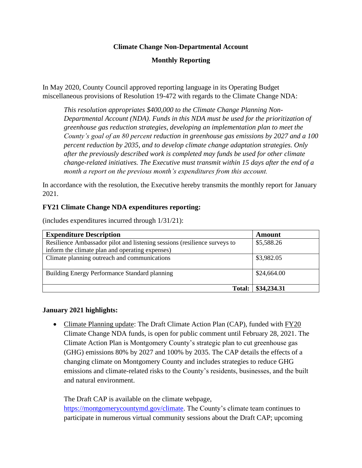### **Climate Change Non-Departmental Account**

## **Monthly Reporting**

In May 2020, County Council approved reporting language in its Operating Budget miscellaneous provisions of Resolution 19-472 with regards to the Climate Change NDA:

*This resolution appropriates \$400,000 to the Climate Change Planning Non-Departmental Account (NDA). Funds in this NDA must be used for the prioritization of greenhouse gas reduction strategies, developing an implementation plan to meet the County's goal of an 80 percent reduction in greenhouse gas emissions by 2027 and a 100 percent reduction by 2035, and to develop climate change adaptation strategies. Only after the previously described work is completed may funds be used for other climate change-related initiatives. The Executive must transmit within 15 days after the end of a month a report on the previous month's expenditures from this account.*

In accordance with the resolution, the Executive hereby transmits the monthly report for January 2021.

### **FY21 Climate Change NDA expenditures reporting:**

| <b>Expenditure Description</b>                                            | Amount      |
|---------------------------------------------------------------------------|-------------|
| Resilience Ambassador pilot and listening sessions (resilience surveys to | \$5,588.26  |
| inform the climate plan and operating expenses)                           |             |
| Climate planning outreach and communications                              | \$3,982.05  |
| Building Energy Performance Standard planning                             | \$24,664.00 |
| <b>Total:</b>                                                             | \$34,234.31 |

(includes expenditures incurred through 1/31/21):

#### **January 2021 highlights:**

• Climate Planning update: The Draft Climate Action Plan (CAP), funded with  $\frac{fY20}{}$ Climate Change NDA funds, is open for public comment until February 28, 2021. The Climate Action Plan is Montgomery County's strategic plan to cut greenhouse gas (GHG) emissions 80% by 2027 and 100% by 2035. The CAP details the effects of a changing climate on Montgomery County and includes strategies to reduce GHG emissions and climate-related risks to the County's residents, businesses, and the built and natural environment.

The Draft CAP is available on the climate webpage, [https://montgomerycountymd.gov/climate.](https://montgomerycountymd.gov/climate) The County's climate team continues to participate in numerous virtual community sessions about the Draft CAP; upcoming